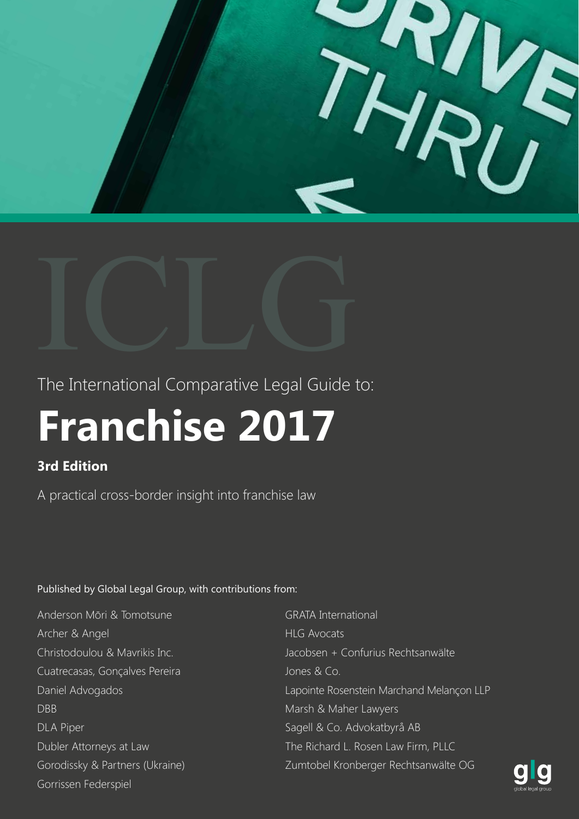



The International Comparative Legal Guide to:

# **Franchise 2017**

# **3rd Edition**

A practical cross-border insight into franchise law

## Published by Global Legal Group, with contributions from:

Anderson Mōri & Tomotsune Archer & Angel Christodoulou & Mavrikis Inc. Cuatrecasas, Gonçalves Pereira Daniel Advogados DBB DLA Piper Dubler Attorneys at Law Gorodissky & Partners (Ukraine) Gorrissen Federspiel

GRATA International HLG Avocats Jacobsen + Confurius Rechtsanwälte Jones & Co. Lapointe Rosenstein Marchand Melançon LLP Marsh & Maher Lawyers Sagell & Co. Advokatbyrå AB The Richard L. Rosen Law Firm, PLLC Zumtobel Kronberger Rechtsanwälte OG

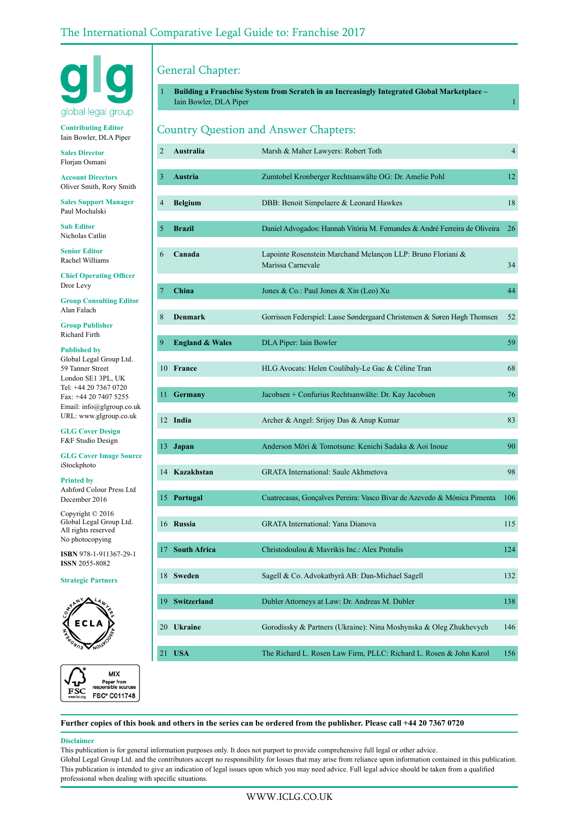

**Contributing Editor** Iain Bowler, DLA Piper

**Sales Director** Florjan Osmani

**Account Directors** Oliver Smith, Rory Smith

**Sales Support Manager** Paul Mochalski

**Sub Editor** Nicholas Catlin

**Senior Editor** Rachel Williams

**Chief Operating Officer** Dror Levy

**Group Consulting Editor** Alan Falach

**Group Publisher** Richard Firth

## **Published by**

Global Legal Group Ltd. 59 Tanner Street London SE1 3PL, UK Tel: +44 20 7367 0720 Fax: +44 20 7407 5255 Email: info@glgroup.co.uk URL: www.glgroup.co.uk

**GLG Cover Design** F&F Studio Design

**GLG Cover Image Source** iStockphoto

## **Printed by**

Ashford Colour Press Ltd December 2016

Copyright © 2016 Global Legal Group Ltd. All rights reserved No photocopying

**ISBN** 978-1-911367-29-1 **ISSN** 2055-8082

## **Strategic Partners**





## General Chapter:

1 **Building a Franchise System from Scratch in an Increasingly Integrated Global Marketplace –** Iain Bowler, DLA Piper

## Country Question and Answer Chapters:

| $\overline{c}$ | Australia                  | Marsh & Maher Lawyers: Robert Toth                                               | 4   |
|----------------|----------------------------|----------------------------------------------------------------------------------|-----|
| 3              | Austria                    | Zumtobel Kronberger Rechtsanwälte OG: Dr. Amelie Pohl                            | 12  |
| 4              | <b>Belgium</b>             | DBB: Benoit Simpelaere & Leonard Hawkes                                          | 18  |
| 5              | <b>Brazil</b>              | Daniel Advogados: Hannah Vitória M. Fernandes & André Ferreira de Oliveira       | 26  |
| 6              | Canada                     | Lapointe Rosenstein Marchand Melançon LLP: Bruno Floriani &<br>Marissa Carnevale | 34  |
| 7              | China                      | Jones & Co.: Paul Jones & Xin (Leo) Xu                                           | 44  |
| 8              | <b>Denmark</b>             | Gorrissen Federspiel: Lasse Søndergaard Christensen & Søren Høgh Thomsen         | 52  |
| 9              | <b>England &amp; Wales</b> | DLA Piper: Iain Bowler                                                           | 59  |
|                | 10 France                  | HLG Avocats: Helen Coulibaly-Le Gac & Céline Tran                                | 68  |
| 11             | Germany                    | Jacobsen + Confurius Rechtsanwälte: Dr. Kay Jacobsen                             | 76  |
|                | 12 India                   | Archer & Angel: Srijoy Das & Anup Kumar                                          | 83  |
|                | 13 Japan                   | Anderson Mōri & Tomotsune: Kenichi Sadaka & Aoi Inoue                            | 90  |
|                | 14 Kazakhstan              | <b>GRATA</b> International: Saule Akhmetova                                      | 98  |
|                | 15 Portugal                | Cuatrecasas, Gonçalves Pereira: Vasco Bivar de Azevedo & Mónica Pimenta          | 106 |
|                | 16 Russia                  | <b>GRATA</b> International: Yana Dianova                                         | 115 |
| 17             | <b>South Africa</b>        | Christodoulou & Mavrikis Inc.: Alex Protulis                                     | 124 |
|                | 18 Sweden                  | Sagell & Co. Advokatbyrå AB: Dan-Michael Sagell                                  | 132 |
| 19             | Switzerland                | Dubler Attorneys at Law: Dr. Andreas M. Dubler                                   | 138 |
| 20             | <b>Ukraine</b>             | Gorodissky & Partners (Ukraine): Nina Moshynska & Oleg Zhukhevych                | 146 |
| 21             | <b>USA</b>                 | The Richard L. Rosen Law Firm, PLLC: Richard L. Rosen & John Karol               | 156 |

**Further copies of this book and others in the series can be ordered from the publisher. Please call +44 20 7367 0720**

## **Disclaimer**

This publication is for general information purposes only. It does not purport to provide comprehensive full legal or other advice. Global Legal Group Ltd. and the contributors accept no responsibility for losses that may arise from reliance upon information contained in this publication. This publication is intended to give an indication of legal issues upon which you may need advice. Full legal advice should be taken from a qualified professional when dealing with specific situations.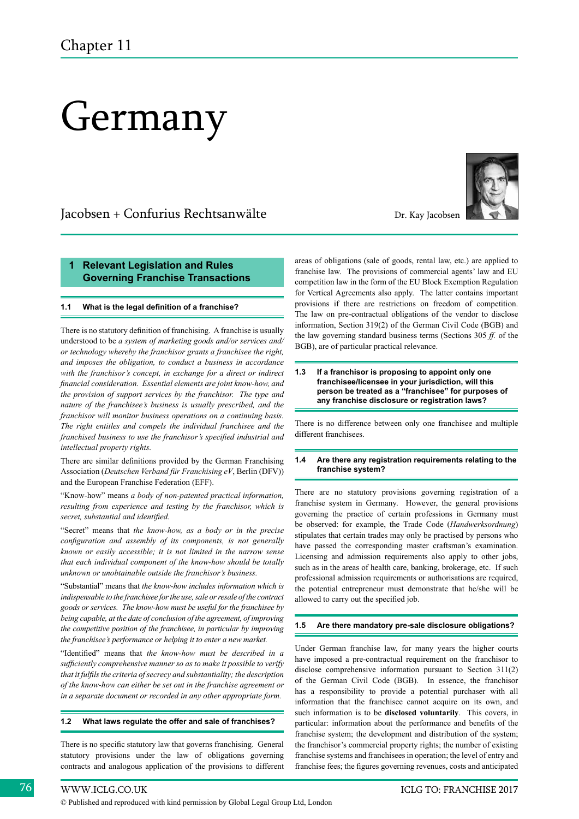# Germany

Jacobsen + Confurius Rechtsanwälte Dr. Kay Jacobsen

## **1 Relevant Legislation and Rules Governing Franchise Transactions**

## **1.1 What is the legal definition of a franchise?**

There is no statutory definition of franchising. A franchise is usually understood to be *a system of marketing goods and/or services and/ or technology whereby the franchisor grants a franchisee the right, and imposes the obligation, to conduct a business in accordance with the franchisor's concept, in exchange for a direct or indirect financial consideration. Essential elements are joint know-how, and the provision of support services by the franchisor. The type and nature of the franchisee's business is usually prescribed, and the franchisor will monitor business operations on a continuing basis. The right entitles and compels the individual franchisee and the franchised business to use the franchisor's specified industrial and intellectual property rights.*

There are similar definitions provided by the German Franchising Association (*Deutschen Verband für Franchising eV*, Berlin (DFV)) and the European Franchise Federation (EFF).

"Know-how" means *a body of non-patented practical information, resulting from experience and testing by the franchisor, which is secret, substantial and identified.*

"Secret" means that *the know-how, as a body or in the precise configuration and assembly of its components, is not generally known or easily accessible; it is not limited in the narrow sense that each individual component of the know-how should be totally unknown or unobtainable outside the franchisor's business.*

"Substantial" means that *the know-how includes information which is indispensable to the franchisee for the use, sale or resale of the contract goods or services. The know-how must be useful for the franchisee by being capable, at the date of conclusion of the agreement, of improving the competitive position of the franchisee, in particular by improving the franchisee's performance or helping it to enter a new market.*

"Identified" means that *the know-how must be described in a sufficiently comprehensive manner so as to make it possible to verify that it fulfils the criteria of secrecy and substantiality; the description of the know-how can either be set out in the franchise agreement or in a separate document or recorded in any other appropriate form.*

## **1.2 What laws regulate the offer and sale of franchises?**

There is no specific statutory law that governs franchising. General statutory provisions under the law of obligations governing contracts and analogous application of the provisions to different



areas of obligations (sale of goods, rental law, etc.) are applied to franchise law. The provisions of commercial agents' law and EU competition law in the form of the EU Block Exemption Regulation for Vertical Agreements also apply. The latter contains important provisions if there are restrictions on freedom of competition. The law on pre-contractual obligations of the vendor to disclose information, Section 319(2) of the German Civil Code (BGB) and the law governing standard business terms (Sections 305 *ff.* of the

## **1.3 If a franchisor is proposing to appoint only one franchisee/licensee in your jurisdiction, will this person be treated as a "franchisee" for purposes of any franchise disclosure or registration laws?**

BGB), are of particular practical relevance.

There is no difference between only one franchisee and multiple different franchisees.

## **1.4 Are there any registration requirements relating to the franchise system?**

There are no statutory provisions governing registration of a franchise system in Germany. However, the general provisions governing the practice of certain professions in Germany must be observed: for example, the Trade Code (*Handwerksordnung*) stipulates that certain trades may only be practised by persons who have passed the corresponding master craftsman's examination. Licensing and admission requirements also apply to other jobs, such as in the areas of health care, banking, brokerage, etc. If such professional admission requirements or authorisations are required, the potential entrepreneur must demonstrate that he/she will be allowed to carry out the specified job.

## **1.5 Are there mandatory pre-sale disclosure obligations?**

Under German franchise law, for many years the higher courts have imposed a pre-contractual requirement on the franchisor to disclose comprehensive information pursuant to Section 311(2) of the German Civil Code (BGB). In essence, the franchisor has a responsibility to provide a potential purchaser with all information that the franchisee cannot acquire on its own, and such information is to be **disclosed voluntarily**. This covers, in particular: information about the performance and benefits of the franchise system; the development and distribution of the system; the franchisor's commercial property rights; the number of existing franchise systems and franchisees in operation; the level of entry and franchise fees; the figures governing revenues, costs and anticipated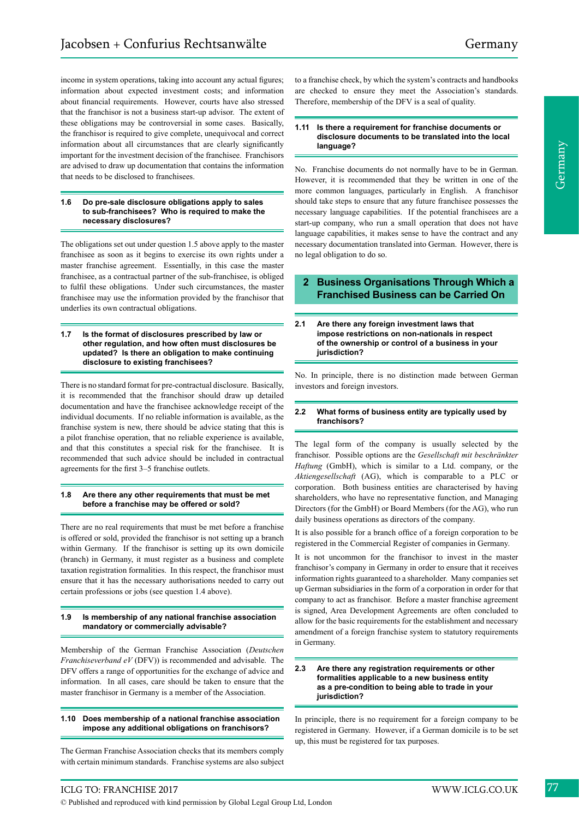income in system operations, taking into account any actual figures; information about expected investment costs; and information about financial requirements. However, courts have also stressed that the franchisor is not a business start-up advisor. The extent of these obligations may be controversial in some cases. Basically, the franchisor is required to give complete, unequivocal and correct information about all circumstances that are clearly significantly important for the investment decision of the franchisee. Franchisors are advised to draw up documentation that contains the information that needs to be disclosed to franchisees.

## **1.6 Do pre-sale disclosure obligations apply to sales to sub-franchisees? Who is required to make the necessary disclosures?**

The obligations set out under question 1.5 above apply to the master franchisee as soon as it begins to exercise its own rights under a master franchise agreement. Essentially, in this case the master franchisee, as a contractual partner of the sub-franchisee, is obliged to fulfil these obligations. Under such circumstances, the master franchisee may use the information provided by the franchisor that underlies its own contractual obligations.

## **1.7 Is the format of disclosures prescribed by law or other regulation, and how often must disclosures be updated? Is there an obligation to make continuing disclosure to existing franchisees?**

There is no standard format for pre-contractual disclosure. Basically, it is recommended that the franchisor should draw up detailed documentation and have the franchisee acknowledge receipt of the individual documents. If no reliable information is available, as the franchise system is new, there should be advice stating that this is a pilot franchise operation, that no reliable experience is available, and that this constitutes a special risk for the franchisee. It is recommended that such advice should be included in contractual agreements for the first 3–5 franchise outlets.

## **1.8 Are there any other requirements that must be met before a franchise may be offered or sold?**

There are no real requirements that must be met before a franchise is offered or sold, provided the franchisor is not setting up a branch within Germany. If the franchisor is setting up its own domicile (branch) in Germany, it must register as a business and complete taxation registration formalities. In this respect, the franchisor must ensure that it has the necessary authorisations needed to carry out certain professions or jobs (see question 1.4 above).

## **1.9 Is membership of any national franchise association mandatory or commercially advisable?**

Membership of the German Franchise Association (*Deutschen Franchiseverband eV* (DFV)) is recommended and advisable. The DFV offers a range of opportunities for the exchange of advice and information. In all cases, care should be taken to ensure that the master franchisor in Germany is a member of the Association.

## **1.10 Does membership of a national franchise association impose any additional obligations on franchisors?**

The German Franchise Association checks that its members comply with certain minimum standards. Franchise systems are also subject

to a franchise check, by which the system's contracts and handbooks are checked to ensure they meet the Association's standards. Therefore, membership of the DFV is a seal of quality.

#### **1.11 Is there a requirement for franchise documents or disclosure documents to be translated into the local language?**

No. Franchise documents do not normally have to be in German. However, it is recommended that they be written in one of the more common languages, particularly in English. A franchisor should take steps to ensure that any future franchisee possesses the necessary language capabilities. If the potential franchisees are a start-up company, who run a small operation that does not have language capabilities, it makes sense to have the contract and any necessary documentation translated into German. However, there is no legal obligation to do so.

## **2 Business Organisations Through Which a Franchised Business can be Carried On**

**2.1 Are there any foreign investment laws that impose restrictions on non-nationals in respect of the ownership or control of a business in your jurisdiction?**

No. In principle, there is no distinction made between German investors and foreign investors.

## **2.2 What forms of business entity are typically used by franchisors?**

The legal form of the company is usually selected by the franchisor. Possible options are the *Gesellschaft mit beschränkter Haftung* (GmbH), which is similar to a Ltd. company, or the *Aktiengesellschaft* (AG), which is comparable to a PLC or corporation. Both business entities are characterised by having shareholders, who have no representative function, and Managing Directors (for the GmbH) or Board Members (for the AG), who run daily business operations as directors of the company.

It is also possible for a branch office of a foreign corporation to be registered in the Commercial Register of companies in Germany.

It is not uncommon for the franchisor to invest in the master franchisor's company in Germany in order to ensure that it receives information rights guaranteed to a shareholder. Many companies set up German subsidiaries in the form of a corporation in order for that company to act as franchisor. Before a master franchise agreement is signed, Area Development Agreements are often concluded to allow for the basic requirements for the establishment and necessary amendment of a foreign franchise system to statutory requirements in Germany.

## **2.3 Are there any registration requirements or other formalities applicable to a new business entity as a pre-condition to being able to trade in your jurisdiction?**

In principle, there is no requirement for a foreign company to be registered in Germany. However, if a German domicile is to be set up, this must be registered for tax purposes.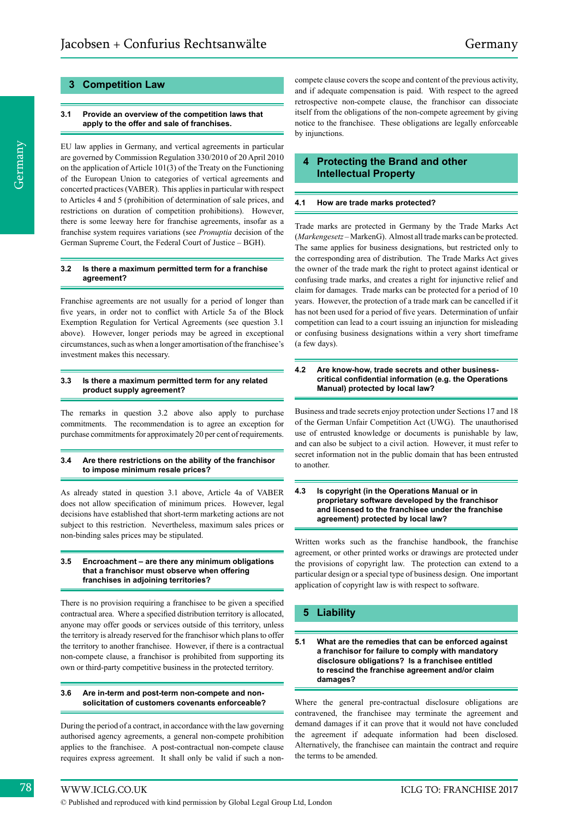## **3 Competition Law**

## **3.1 Provide an overview of the competition laws that apply to the offer and sale of franchises.**

EU law applies in Germany, and vertical agreements in particular are governed by Commission Regulation 330/2010 of 20 April 2010 on the application of Article 101(3) of the Treaty on the Functioning of the European Union to categories of vertical agreements and concerted practices (VABER). This applies in particular with respect to Articles 4 and 5 (prohibition of determination of sale prices, and restrictions on duration of competition prohibitions). However, there is some leeway here for franchise agreements, insofar as a franchise system requires variations (see *Pronuptia* decision of the German Supreme Court, the Federal Court of Justice – BGH).

## **3.2 Is there a maximum permitted term for a franchise agreement?**

Franchise agreements are not usually for a period of longer than five years, in order not to conflict with Article 5a of the Block Exemption Regulation for Vertical Agreements (see question 3.1 above). However, longer periods may be agreed in exceptional circumstances, such as when a longer amortisation of the franchisee's investment makes this necessary.

#### **3.3 Is there a maximum permitted term for any related product supply agreement?**

The remarks in question 3.2 above also apply to purchase commitments. The recommendation is to agree an exception for purchase commitments for approximately 20 per cent of requirements.

## **3.4 Are there restrictions on the ability of the franchisor to impose minimum resale prices?**

As already stated in question 3.1 above, Article 4a of VABER does not allow specification of minimum prices. However, legal decisions have established that short-term marketing actions are not subject to this restriction. Nevertheless, maximum sales prices or non-binding sales prices may be stipulated.

#### **3.5 Encroachment – are there any minimum obligations that a franchisor must observe when offering franchises in adjoining territories?**

There is no provision requiring a franchisee to be given a specified contractual area. Where a specified distribution territory is allocated, anyone may offer goods or services outside of this territory, unless the territory is already reserved for the franchisor which plans to offer the territory to another franchisee. However, if there is a contractual non-compete clause, a franchisor is prohibited from supporting its own or third-party competitive business in the protected territory.

## **3.6 Are in-term and post-term non-compete and nonsolicitation of customers covenants enforceable?**

During the period of a contract, in accordance with the law governing authorised agency agreements, a general non-compete prohibition applies to the franchisee. A post-contractual non-compete clause requires express agreement. It shall only be valid if such a noncompete clause covers the scope and content of the previous activity, and if adequate compensation is paid. With respect to the agreed retrospective non-compete clause, the franchisor can dissociate itself from the obligations of the non-compete agreement by giving notice to the franchisee. These obligations are legally enforceable by injunctions.

## **4 Protecting the Brand and other Intellectual Property**

## **4.1 How are trade marks protected?**

Trade marks are protected in Germany by the Trade Marks Act (*Markengesetz* – MarkenG). Almost all trade marks can be protected. The same applies for business designations, but restricted only to the corresponding area of distribution. The Trade Marks Act gives the owner of the trade mark the right to protect against identical or confusing trade marks, and creates a right for injunctive relief and claim for damages. Trade marks can be protected for a period of 10 years. However, the protection of a trade mark can be cancelled if it has not been used for a period of five years. Determination of unfair competition can lead to a court issuing an injunction for misleading or confusing business designations within a very short timeframe (a few days).

#### **4.2 Are know-how, trade secrets and other businesscritical confidential information (e.g. the Operations Manual) protected by local law?**

Business and trade secrets enjoy protection under Sections 17 and 18 of the German Unfair Competition Act (UWG). The unauthorised use of entrusted knowledge or documents is punishable by law, and can also be subject to a civil action. However, it must refer to secret information not in the public domain that has been entrusted to another.

## **4.3 Is copyright (in the Operations Manual or in proprietary software developed by the franchisor and licensed to the franchisee under the franchise agreement) protected by local law?**

Written works such as the franchise handbook, the franchise agreement, or other printed works or drawings are protected under the provisions of copyright law. The protection can extend to a particular design or a special type of business design. One important application of copyright law is with respect to software.

## **5 Liability**

#### **5.1 What are the remedies that can be enforced against a franchisor for failure to comply with mandatory disclosure obligations? Is a franchisee entitled to rescind the franchise agreement and/or claim damages?**

Where the general pre-contractual disclosure obligations are contravened, the franchisee may terminate the agreement and demand damages if it can prove that it would not have concluded the agreement if adequate information had been disclosed. Alternatively, the franchisee can maintain the contract and require the terms to be amended.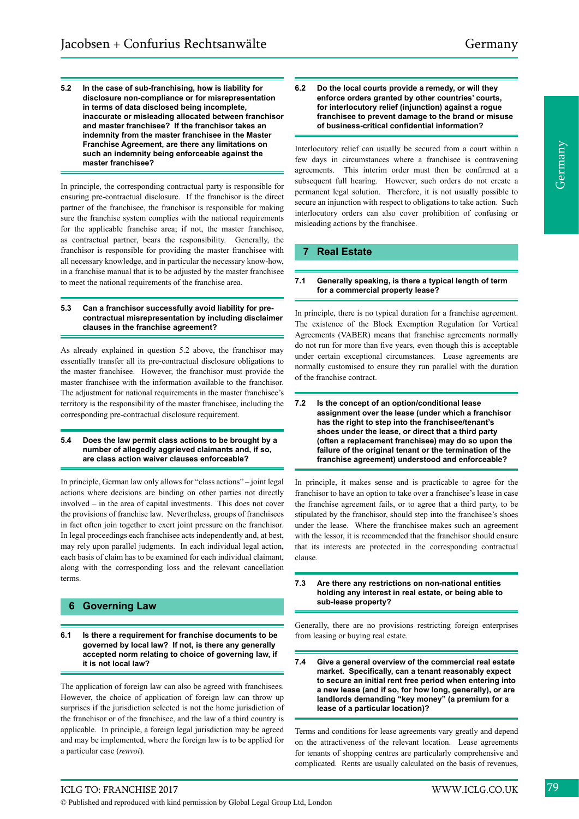**5.2 In the case of sub-franchising, how is liability for disclosure non-compliance or for misrepresentation in terms of data disclosed being incomplete, inaccurate or misleading allocated between franchisor and master franchisee? If the franchisor takes an indemnity from the master franchisee in the Master Franchise Agreement, are there any limitations on such an indemnity being enforceable against the master franchisee?**

In principle, the corresponding contractual party is responsible for ensuring pre-contractual disclosure. If the franchisor is the direct partner of the franchisee, the franchisor is responsible for making sure the franchise system complies with the national requirements for the applicable franchise area; if not, the master franchisee, as contractual partner, bears the responsibility. Generally, the franchisor is responsible for providing the master franchisee with all necessary knowledge, and in particular the necessary know-how, in a franchise manual that is to be adjusted by the master franchisee to meet the national requirements of the franchise area.

## **5.3 Can a franchisor successfully avoid liability for precontractual misrepresentation by including disclaimer clauses in the franchise agreement?**

As already explained in question 5.2 above, the franchisor may essentially transfer all its pre-contractual disclosure obligations to the master franchisee. However, the franchisor must provide the master franchisee with the information available to the franchisor. The adjustment for national requirements in the master franchisee's territory is the responsibility of the master franchisee, including the corresponding pre-contractual disclosure requirement.

## **5.4 Does the law permit class actions to be brought by a number of allegedly aggrieved claimants and, if so, are class action waiver clauses enforceable?**

In principle, German law only allows for "class actions" – joint legal actions where decisions are binding on other parties not directly involved – in the area of capital investments. This does not cover the provisions of franchise law. Nevertheless, groups of franchisees in fact often join together to exert joint pressure on the franchisor. In legal proceedings each franchisee acts independently and, at best, may rely upon parallel judgments. In each individual legal action, each basis of claim has to be examined for each individual claimant, along with the corresponding loss and the relevant cancellation terms.

## **6 Governing Law**

**6.1 Is there a requirement for franchise documents to be governed by local law? If not, is there any generally accepted norm relating to choice of governing law, if it is not local law?**

The application of foreign law can also be agreed with franchisees. However, the choice of application of foreign law can throw up surprises if the jurisdiction selected is not the home jurisdiction of the franchisor or of the franchisee, and the law of a third country is applicable. In principle, a foreign legal jurisdiction may be agreed and may be implemented, where the foreign law is to be applied for a particular case (*renvoi*).

#### **6.2 Do the local courts provide a remedy, or will they enforce orders granted by other countries' courts, for interlocutory relief (injunction) against a rogue franchisee to prevent damage to the brand or misuse of business-critical confidential information?**

Interlocutory relief can usually be secured from a court within a few days in circumstances where a franchisee is contravening agreements. This interim order must then be confirmed at a subsequent full hearing. However, such orders do not create a permanent legal solution. Therefore, it is not usually possible to secure an injunction with respect to obligations to take action. Such interlocutory orders can also cover prohibition of confusing or misleading actions by the franchisee.

## **7 Real Estate**

## **7.1 Generally speaking, is there a typical length of term for a commercial property lease?**

In principle, there is no typical duration for a franchise agreement. The existence of the Block Exemption Regulation for Vertical Agreements (VABER) means that franchise agreements normally do not run for more than five years, even though this is acceptable under certain exceptional circumstances. Lease agreements are normally customised to ensure they run parallel with the duration of the franchise contract.

```
7.2 Is the concept of an option/conditional lease 
assignment over the lease (under which a franchisor
has the right to step into the franchisee/tenant's 
shoes under the lease, or direct that a third party 
(often a replacement franchisee) may do so upon the
failure of the original tenant or the termination of the 
franchise agreement) understood and enforceable?
```
In principle, it makes sense and is practicable to agree for the franchisor to have an option to take over a franchisee's lease in case the franchise agreement fails, or to agree that a third party, to be stipulated by the franchisor, should step into the franchisee's shoes under the lease. Where the franchisee makes such an agreement with the lessor, it is recommended that the franchisor should ensure that its interests are protected in the corresponding contractual clause.

## **7.3 Are there any restrictions on non-national entities holding any interest in real estate, or being able to sub-lease property?**

Generally, there are no provisions restricting foreign enterprises from leasing or buying real estate.

**7.4 Give a general overview of the commercial real estate market. Specifically, can a tenant reasonably expect to secure an initial rent free period when entering into a new lease (and if so, for how long, generally), or are landlords demanding "key money" (a premium for a lease of a particular location)?**

Terms and conditions for lease agreements vary greatly and depend on the attractiveness of the relevant location. Lease agreements for tenants of shopping centres are particularly comprehensive and complicated. Rents are usually calculated on the basis of revenues,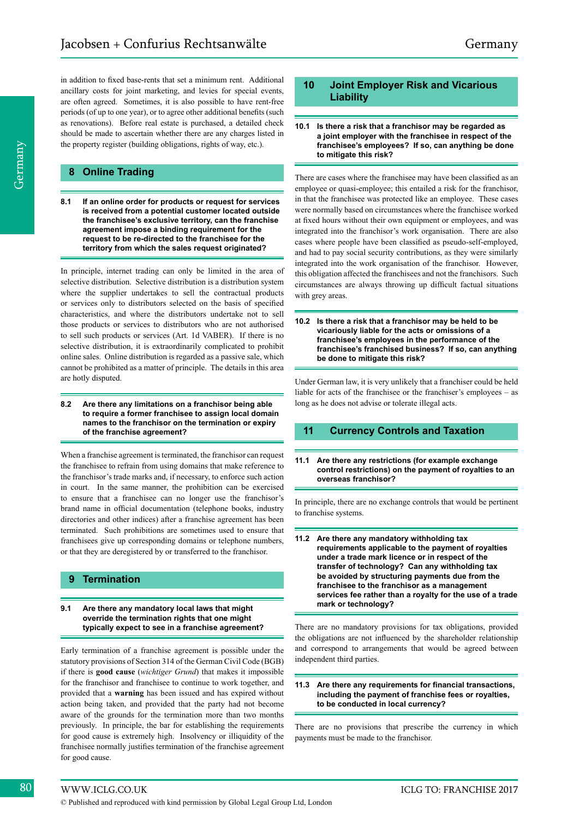in addition to fixed base-rents that set a minimum rent. Additional ancillary costs for joint marketing, and levies for special events, are often agreed. Sometimes, it is also possible to have rent-free periods (of up to one year), or to agree other additional benefits (such as renovations). Before real estate is purchased, a detailed check should be made to ascertain whether there are any charges listed in the property register (building obligations, rights of way, etc.).

## **8 Online Trading**

**8.1 If an online order for products or request for services is received from a potential customer located outside the franchisee's exclusive territory, can the franchise agreement impose a binding requirement for the request to be re-directed to the franchisee for the territory from which the sales request originated?**

In principle, internet trading can only be limited in the area of selective distribution. Selective distribution is a distribution system where the supplier undertakes to sell the contractual products or services only to distributors selected on the basis of specified characteristics, and where the distributors undertake not to sell those products or services to distributors who are not authorised to sell such products or services (Art. 1d VABER). If there is no selective distribution, it is extraordinarily complicated to prohibit online sales. Online distribution is regarded as a passive sale, which cannot be prohibited as a matter of principle. The details in this area are hotly disputed.

## **8.2 Are there any limitations on a franchisor being able to require a former franchisee to assign local domain names to the franchisor on the termination or expiry of the franchise agreement?**

When a franchise agreement is terminated, the franchisor can request the franchisee to refrain from using domains that make reference to the franchisor's trade marks and, if necessary, to enforce such action in court. In the same manner, the prohibition can be exercised to ensure that a franchisee can no longer use the franchisor's brand name in official documentation (telephone books, industry directories and other indices) after a franchise agreement has been terminated. Such prohibitions are sometimes used to ensure that franchisees give up corresponding domains or telephone numbers, or that they are deregistered by or transferred to the franchisor.

## **9 Termination**

#### **9.1 Are there any mandatory local laws that might override the termination rights that one might typically expect to see in a franchise agreement?**

Early termination of a franchise agreement is possible under the statutory provisions of Section 314 of the German Civil Code (BGB) if there is **good cause** (*wichtiger Grund*) that makes it impossible for the franchisor and franchisee to continue to work together, and provided that a **warning** has been issued and has expired without action being taken, and provided that the party had not become aware of the grounds for the termination more than two months previously. In principle, the bar for establishing the requirements for good cause is extremely high. Insolvency or illiquidity of the franchisee normally justifies termination of the franchise agreement for good cause.

## **10 Joint Employer Risk and Vicarious Liability**

**10.1 Is there a risk that a franchisor may be regarded as a joint employer with the franchisee in respect of the franchisee's employees? If so, can anything be done to mitigate this risk?**

There are cases where the franchisee may have been classified as an employee or quasi-employee; this entailed a risk for the franchisor, in that the franchisee was protected like an employee. These cases were normally based on circumstances where the franchisee worked at fixed hours without their own equipment or employees, and was integrated into the franchisor's work organisation. There are also cases where people have been classified as pseudo-self-employed, and had to pay social security contributions, as they were similarly integrated into the work organisation of the franchisor. However, this obligation affected the franchisees and not the franchisors. Such circumstances are always throwing up difficult factual situations with grey areas.

**10.2 Is there a risk that a franchisor may be held to be vicariously liable for the acts or omissions of a franchisee's employees in the performance of the franchisee's franchised business? If so, can anything be done to mitigate this risk?**

Under German law, it is very unlikely that a franchiser could be held liable for acts of the franchisee or the franchiser's employees – as long as he does not advise or tolerate illegal acts.

## **11 Currency Controls and Taxation**

**11.1 Are there any restrictions (for example exchange control restrictions) on the payment of royalties to an overseas franchisor?**

In principle, there are no exchange controls that would be pertinent to franchise systems.

**11.2 Are there any mandatory withholding tax requirements applicable to the payment of royalties under a trade mark licence or in respect of the transfer of technology? Can any withholding tax be avoided by structuring payments due from the franchisee to the franchisor as a management services fee rather than a royalty for the use of a trade mark or technology?**

There are no mandatory provisions for tax obligations, provided the obligations are not influenced by the shareholder relationship and correspond to arrangements that would be agreed between independent third parties.

## **11.3 Are there any requirements for financial transactions, including the payment of franchise fees or royalties, to be conducted in local currency?**

There are no provisions that prescribe the currency in which payments must be made to the franchisor.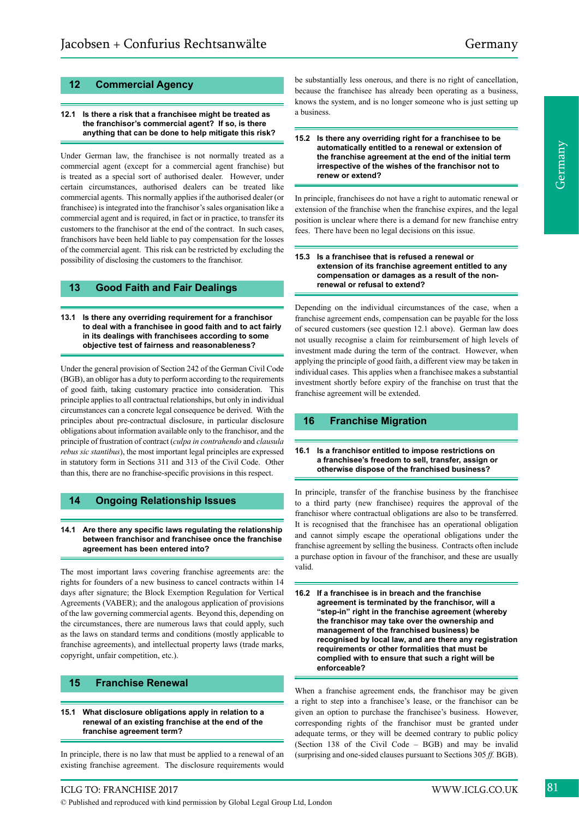## **12 Commercial Agency**

#### **12.1 Is there a risk that a franchisee might be treated as the franchisor's commercial agent? If so, is there anything that can be done to help mitigate this risk?**

Under German law, the franchisee is not normally treated as a commercial agent (except for a commercial agent franchise) but is treated as a special sort of authorised dealer. However, under certain circumstances, authorised dealers can be treated like commercial agents. This normally applies if the authorised dealer (or franchisee) is integrated into the franchisor's sales organisation like a commercial agent and is required, in fact or in practice, to transfer its customers to the franchisor at the end of the contract. In such cases, franchisors have been held liable to pay compensation for the losses of the commercial agent. This risk can be restricted by excluding the possibility of disclosing the customers to the franchisor.

## **13 Good Faith and Fair Dealings**

#### **13.1 Is there any overriding requirement for a franchisor to deal with a franchisee in good faith and to act fairly in its dealings with franchisees according to some objective test of fairness and reasonableness?**

Under the general provision of Section 242 of the German Civil Code (BGB), an obligor has a duty to perform according to the requirements of good faith, taking customary practice into consideration. This principle applies to all contractual relationships, but only in individual circumstances can a concrete legal consequence be derived. With the principles about pre-contractual disclosure, in particular disclosure obligations about information available only to the franchisor, and the principle of frustration of contract (*culpa in contrahendo* and *clausula rebus sic stantibus*), the most important legal principles are expressed in statutory form in Sections 311 and 313 of the Civil Code. Other than this, there are no franchise-specific provisions in this respect.

## **14 Ongoing Relationship Issues**

#### **14.1 Are there any specific laws regulating the relationship between franchisor and franchisee once the franchise agreement has been entered into?**

The most important laws covering franchise agreements are: the rights for founders of a new business to cancel contracts within 14 days after signature; the Block Exemption Regulation for Vertical Agreements (VABER); and the analogous application of provisions of the law governing commercial agents. Beyond this, depending on the circumstances, there are numerous laws that could apply, such as the laws on standard terms and conditions (mostly applicable to franchise agreements), and intellectual property laws (trade marks, copyright, unfair competition, etc.).

## **15 Franchise Renewal**

## **15.1 What disclosure obligations apply in relation to a renewal of an existing franchise at the end of the franchise agreement term?**

In principle, there is no law that must be applied to a renewal of an existing franchise agreement. The disclosure requirements would

be substantially less onerous, and there is no right of cancellation, because the franchisee has already been operating as a business, knows the system, and is no longer someone who is just setting up a business.

## **15.2 Is there any overriding right for a franchisee to be automatically entitled to a renewal or extension of the franchise agreement at the end of the initial term irrespective of the wishes of the franchisor not to renew or extend?**

In principle, franchisees do not have a right to automatic renewal or extension of the franchise when the franchise expires, and the legal position is unclear where there is a demand for new franchise entry fees. There have been no legal decisions on this issue.

#### **15.3 Is a franchisee that is refused a renewal or extension of its franchise agreement entitled to any compensation or damages as a result of the nonrenewal or refusal to extend?**

Depending on the individual circumstances of the case, when a franchise agreement ends, compensation can be payable for the loss of secured customers (see question 12.1 above). German law does not usually recognise a claim for reimbursement of high levels of investment made during the term of the contract. However, when applying the principle of good faith, a different view may be taken in individual cases. This applies when a franchisee makes a substantial investment shortly before expiry of the franchise on trust that the franchise agreement will be extended.

## **16 Franchise Migration**

## **16.1 Is a franchisor entitled to impose restrictions on a franchisee's freedom to sell, transfer, assign or otherwise dispose of the franchised business?**

In principle, transfer of the franchise business by the franchisee to a third party (new franchisee) requires the approval of the franchisor where contractual obligations are also to be transferred. It is recognised that the franchisee has an operational obligation and cannot simply escape the operational obligations under the franchise agreement by selling the business. Contracts often include a purchase option in favour of the franchisor, and these are usually valid.

**16.2 If a franchisee is in breach and the franchise agreement is terminated by the franchisor, will a "step-in" right in the franchise agreement (whereby the franchisor may take over the ownership and management of the franchised business) be recognised by local law, and are there any registration requirements or other formalities that must be complied with to ensure that such a right will be enforceable?**

When a franchise agreement ends, the franchisor may be given a right to step into a franchisee's lease, or the franchisor can be given an option to purchase the franchisee's business. However, corresponding rights of the franchisor must be granted under adequate terms, or they will be deemed contrary to public policy (Section 138 of the Civil Code – BGB) and may be invalid (surprising and one-sided clauses pursuant to Sections 305 *ff.* BGB).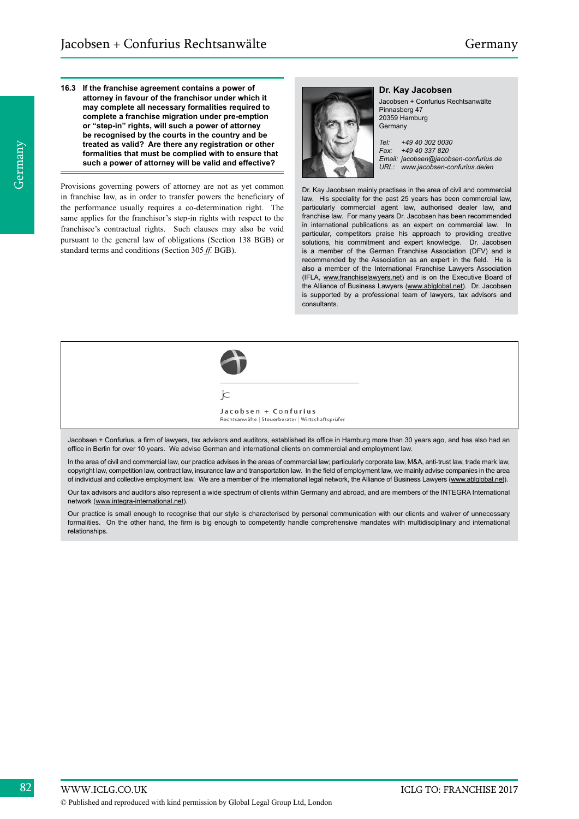**16.3 If the franchise agreement contains a power of attorney in favour of the franchisor under which it may complete all necessary formalities required to complete a franchise migration under pre-emption or "step-in" rights, will such a power of attorney be recognised by the courts in the country and be treated as valid? Are there any registration or other formalities that must be complied with to ensure that such a power of attorney will be valid and effective?**

Provisions governing powers of attorney are not as yet common in franchise law, as in order to transfer powers the beneficiary of the performance usually requires a co-determination right. The same applies for the franchisor's step-in rights with respect to the franchisee's contractual rights. Such clauses may also be void pursuant to the general law of obligations (Section 138 BGB) or standard terms and conditions (Section 305 *ff.* BGB).



#### **Dr. Kay Jacobsen**

Jacobsen + Confurius Rechtsanwälte Pinnasberg 47 20359 Hamburg Germany

*Tel: +49 40 302 0030 Fax: +49 40 337 820 Email: jacobsen@jacobsen-confurius.de URL: www.jacobsen-confurius.de/en*

Dr. Kay Jacobsen mainly practises in the area of civil and commercial law. His speciality for the past 25 years has been commercial law, particularly commercial agent law, authorised dealer law, and franchise law. For many years Dr. Jacobsen has been recommended in international publications as an expert on commercial law. In particular, competitors praise his approach to providing creative solutions, his commitment and expert knowledge. Dr. Jacobsen is a member of the German Franchise Association (DFV) and is recommended by the Association as an expert in the field. He is also a member of the International Franchise Lawyers Association (IFLA, www.franchiselawyers.net) and is on the Executive Board of the Alliance of Business Lawyers (www.ablglobal.net). Dr. Jacobsen is supported by a professional team of lawyers, tax advisors and consultants.



Jacobsen + Confurius, a firm of lawyers, tax advisors and auditors, established its office in Hamburg more than 30 years ago, and has also had an office in Berlin for over 10 years. We advise German and international clients on commercial and employment law.

In the area of civil and commercial law, our practice advises in the areas of commercial law; particularly corporate law, M&A, anti-trust law, trade mark law, copyright law, competition law, contract law, insurance law and transportation law. In the field of employment law, we mainly advise companies in the area of individual and collective employment law. We are a member of the international legal network, the Alliance of Business Lawyers (www.ablglobal.net).

Our tax advisors and auditors also represent a wide spectrum of clients within Germany and abroad, and are members of the INTEGRA International network (www.integra-international.net).

Our practice is small enough to recognise that our style is characterised by personal communication with our clients and waiver of unnecessary formalities. On the other hand, the firm is big enough to competently handle comprehensive mandates with multidisciplinary and international relationships.